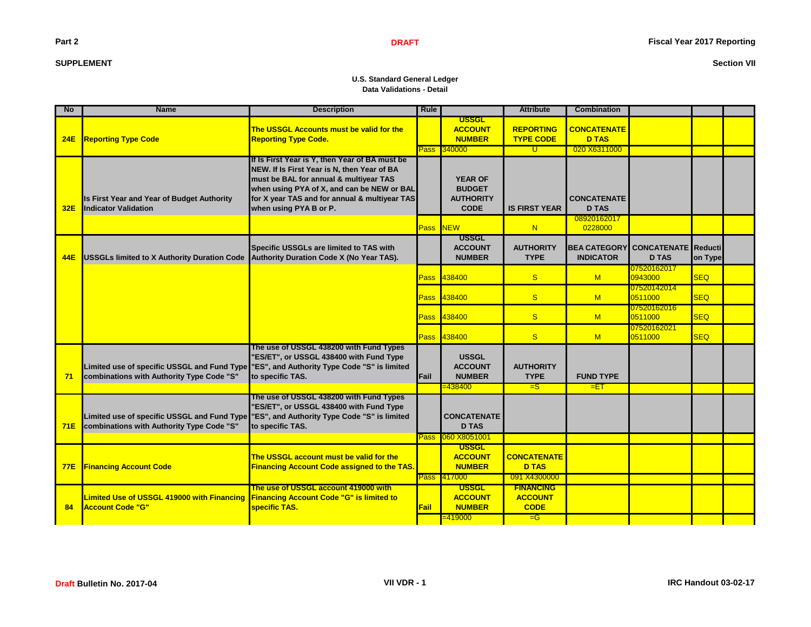## **Part 2**

## **SUPPLEMENT**

## **Section VII**

### **U.S. Standard General Ledger Data Validations - Detail**

| <b>No</b>  | <b>Name</b>                                                                              | <b>Description</b>                                                                                                                                                                                                                                               | <b>Rule</b> |                                                                    | <b>Attribute</b>                                           | <b>Combination</b>                      |                                            |            |  |
|------------|------------------------------------------------------------------------------------------|------------------------------------------------------------------------------------------------------------------------------------------------------------------------------------------------------------------------------------------------------------------|-------------|--------------------------------------------------------------------|------------------------------------------------------------|-----------------------------------------|--------------------------------------------|------------|--|
| <b>24E</b> | <b>Reporting Type Code</b>                                                               | The USSGL Accounts must be valid for the<br><b>Reporting Type Code.</b>                                                                                                                                                                                          |             | <b>USSGL</b><br><b>ACCOUNT</b><br><b>NUMBER</b>                    | <b>REPORTING</b><br><b>TYPE CODE</b>                       | <b>CONCATENATE</b><br><b>D TAS</b>      |                                            |            |  |
|            |                                                                                          |                                                                                                                                                                                                                                                                  |             | Pass 340000                                                        | ण                                                          | 020 X6311000                            |                                            |            |  |
| 32E        | Is First Year and Year of Budget Authority<br><b>Indicator Validation</b>                | If Is First Year is Y, then Year of BA must be<br>NEW. If Is First Year is N, then Year of BA<br>must be BAL for annual & multiyear TAS<br>when using PYA of X, and can be NEW or BAL<br>for X year TAS and for annual & multiyear TAS<br>when using PYA B or P. |             | <b>YEAR OF</b><br><b>BUDGET</b><br><b>AUTHORITY</b><br><b>CODE</b> | <b>IS FIRST YEAR</b>                                       | <b>CONCATENATE</b><br><b>D TAS</b>      |                                            |            |  |
|            |                                                                                          |                                                                                                                                                                                                                                                                  |             | Pass NEW                                                           | N                                                          | 08920162017<br>0228000                  |                                            |            |  |
| 44E        | <b>USSGLs limited to X Authority Duration Code</b>                                       | Specific USSGLs are limited to TAS with<br>Authority Duration Code X (No Year TAS).                                                                                                                                                                              |             | <b>USSGL</b><br><b>ACCOUNT</b><br><b>NUMBER</b>                    | <b>AUTHORITY</b><br><b>TYPE</b>                            | <b>BEA CATEGORY</b><br><b>INDICATOR</b> | <b>CONCATENATE</b> Reducti<br><b>D TAS</b> | on Type    |  |
|            |                                                                                          |                                                                                                                                                                                                                                                                  |             | Pass 438400                                                        | $\mathbf{s}$                                               | M                                       | 07520162017<br>0943000                     | <b>SEQ</b> |  |
|            |                                                                                          |                                                                                                                                                                                                                                                                  | Pass        | 438400                                                             | <sub>S</sub>                                               | M                                       | 07520142014<br>0511000                     | <b>SEQ</b> |  |
|            |                                                                                          |                                                                                                                                                                                                                                                                  | Pass        | 438400                                                             | <sub>S</sub>                                               | M                                       | 07520162016<br>0511000                     | <b>SEQ</b> |  |
|            |                                                                                          |                                                                                                                                                                                                                                                                  |             | Pass 438400                                                        | <sub>S</sub>                                               | M                                       | 07520162021<br>0511000                     | <b>SEQ</b> |  |
| 71         | Limited use of specific USSGL and Fund Type<br>combinations with Authority Type Code "S" | The use of USSGL 438200 with Fund Types<br>"ES/ET", or USSGL 438400 with Fund Type<br>"ES", and Authority Type Code "S" is limited<br>to specific TAS.                                                                                                           | Fail        | <b>USSGL</b><br><b>ACCOUNT</b><br><b>NUMBER</b>                    | <b>AUTHORITY</b><br><b>TYPE</b>                            | <b>FUND TYPE</b>                        |                                            |            |  |
|            |                                                                                          |                                                                                                                                                                                                                                                                  |             | =438400                                                            | $=$ S                                                      | $=$ $ET$                                |                                            |            |  |
| <b>71E</b> | Limited use of specific USSGL and Fund Type<br>combinations with Authority Type Code "S" | The use of USSGL 438200 with Fund Types<br>'ES/ET", or USSGL 438400 with Fund Type<br>"ES", and Authority Type Code "S" is limited<br>to specific TAS.                                                                                                           | Pass l      | <b>CONCATENATE</b><br><b>D TAS</b><br>060 X8051001                 |                                                            |                                         |                                            |            |  |
| <b>77E</b> | <b>Financing Account Code</b>                                                            | The USSGL account must be valid for the<br><b>Financing Account Code assigned to the TAS.</b>                                                                                                                                                                    |             | <b>USSGL</b><br><b>ACCOUNT</b><br><b>NUMBER</b><br>Pass 417000     | <b>CONCATENATE</b><br><b>D TAS</b><br>091 X4300000         |                                         |                                            |            |  |
| 84         | Limited Use of USSGL 419000 with Financing<br><b>Account Code "G"</b>                    | The use of USSGL account 419000 with<br><b>Financing Account Code "G" is limited to</b><br>specific TAS.                                                                                                                                                         | <b>Fail</b> | <b>USSGL</b><br><b>ACCOUNT</b><br><b>NUMBER</b><br>$= 419000$      | <b>FINANCING</b><br><b>ACCOUNT</b><br><b>CODE</b><br>$=$ G |                                         |                                            |            |  |
|            |                                                                                          |                                                                                                                                                                                                                                                                  |             |                                                                    |                                                            |                                         |                                            |            |  |